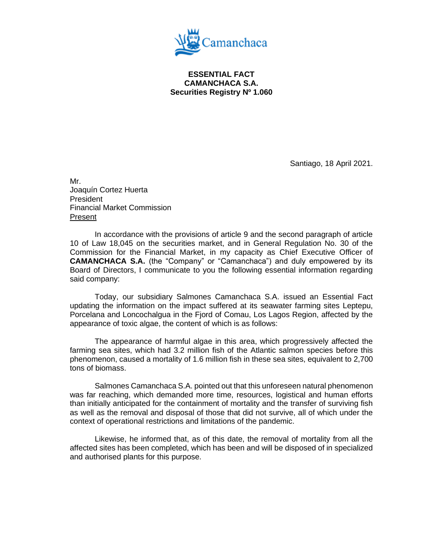

**ESSENTIAL FACT CAMANCHACA S.A. Securities Registry Nº 1.060**

Santiago, 18 April 2021.

Mr. Joaquín Cortez Huerta President Financial Market Commission Present

In accordance with the provisions of article 9 and the second paragraph of article 10 of Law 18,045 on the securities market, and in General Regulation No. 30 of the Commission for the Financial Market, in my capacity as Chief Executive Officer of **CAMANCHACA S.A.** (the "Company" or "Camanchaca") and duly empowered by its Board of Directors, I communicate to you the following essential information regarding said company:

Today, our subsidiary Salmones Camanchaca S.A. issued an Essential Fact updating the information on the impact suffered at its seawater farming sites Leptepu, Porcelana and Loncochalgua in the Fjord of Comau, Los Lagos Region, affected by the appearance of toxic algae, the content of which is as follows:

The appearance of harmful algae in this area, which progressively affected the farming sea sites, which had 3.2 million fish of the Atlantic salmon species before this phenomenon, caused a mortality of 1.6 million fish in these sea sites, equivalent to 2,700 tons of biomass.

Salmones Camanchaca S.A. pointed out that this unforeseen natural phenomenon was far reaching, which demanded more time, resources, logistical and human efforts than initially anticipated for the containment of mortality and the transfer of surviving fish as well as the removal and disposal of those that did not survive, all of which under the context of operational restrictions and limitations of the pandemic.

Likewise, he informed that, as of this date, the removal of mortality from all the affected sites has been completed, which has been and will be disposed of in specialized and authorised plants for this purpose.